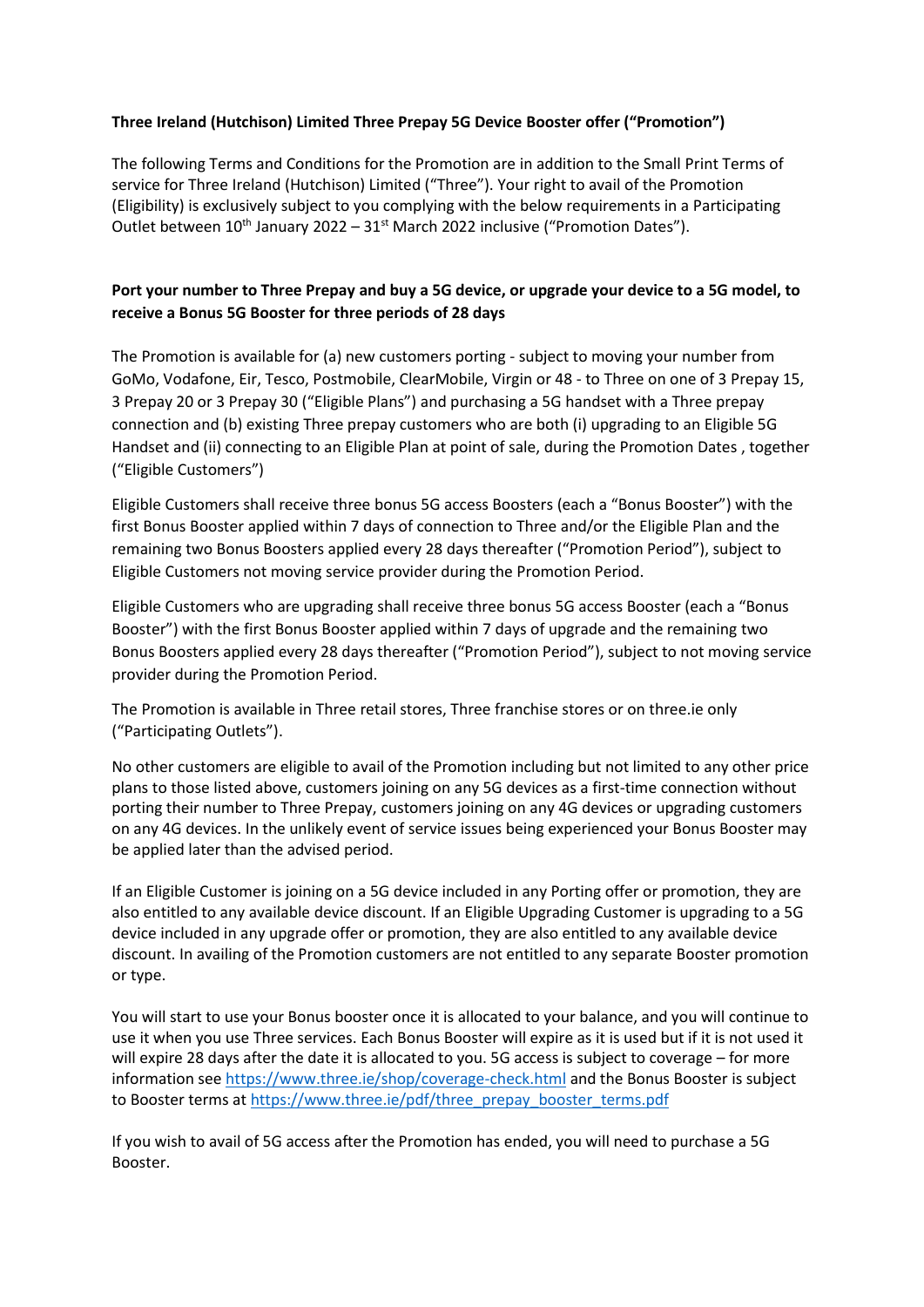## **Three Ireland (Hutchison) Limited Three Prepay 5G Device Booster offer ("Promotion")**

The following Terms and Conditions for the Promotion are in addition to the Small Print Terms of service for Three Ireland (Hutchison) Limited ("Three"). Your right to avail of the Promotion (Eligibility) is exclusively subject to you complying with the below requirements in a Participating Outlet between  $10^{th}$  January 2022 –  $31^{st}$  March 2022 inclusive ("Promotion Dates").

## **Port your number to Three Prepay and buy a 5G device, or upgrade your device to a 5G model, to receive a Bonus 5G Booster for three periods of 28 days**

The Promotion is available for (a) new customers porting - subject to moving your number from GoMo, Vodafone, Eir, Tesco, Postmobile, ClearMobile, Virgin or 48 - to Three on one of 3 Prepay 15, 3 Prepay 20 or 3 Prepay 30 ("Eligible Plans") and purchasing a 5G handset with a Three prepay connection and (b) existing Three prepay customers who are both (i) upgrading to an Eligible 5G Handset and (ii) connecting to an Eligible Plan at point of sale, during the Promotion Dates , together ("Eligible Customers")

Eligible Customers shall receive three bonus 5G access Boosters (each a "Bonus Booster") with the first Bonus Booster applied within 7 days of connection to Three and/or the Eligible Plan and the remaining two Bonus Boosters applied every 28 days thereafter ("Promotion Period"), subject to Eligible Customers not moving service provider during the Promotion Period.

Eligible Customers who are upgrading shall receive three bonus 5G access Booster (each a "Bonus Booster") with the first Bonus Booster applied within 7 days of upgrade and the remaining two Bonus Boosters applied every 28 days thereafter ("Promotion Period"), subject to not moving service provider during the Promotion Period.

The Promotion is available in Three retail stores, Three franchise stores or on three.ie only ("Participating Outlets").

No other customers are eligible to avail of the Promotion including but not limited to any other price plans to those listed above, customers joining on any 5G devices as a first-time connection without porting their number to Three Prepay, customers joining on any 4G devices or upgrading customers on any 4G devices. In the unlikely event of service issues being experienced your Bonus Booster may be applied later than the advised period.

If an Eligible Customer is joining on a 5G device included in any Porting offer or promotion, they are also entitled to any available device discount. If an Eligible Upgrading Customer is upgrading to a 5G device included in any upgrade offer or promotion, they are also entitled to any available device discount. In availing of the Promotion customers are not entitled to any separate Booster promotion or type.

You will start to use your Bonus booster once it is allocated to your balance, and you will continue to use it when you use Three services. Each Bonus Booster will expire as it is used but if it is not used it will expire 28 days after the date it is allocated to you. 5G access is subject to coverage – for more information see<https://www.three.ie/shop/coverage-check.html> and the Bonus Booster is subject to Booster terms at [https://www.three.ie/pdf/three\\_prepay\\_booster\\_terms.pdf](https://www.three.ie/pdf/three_prepay_booster_terms.pdf)

If you wish to avail of 5G access after the Promotion has ended, you will need to purchase a 5G Booster.